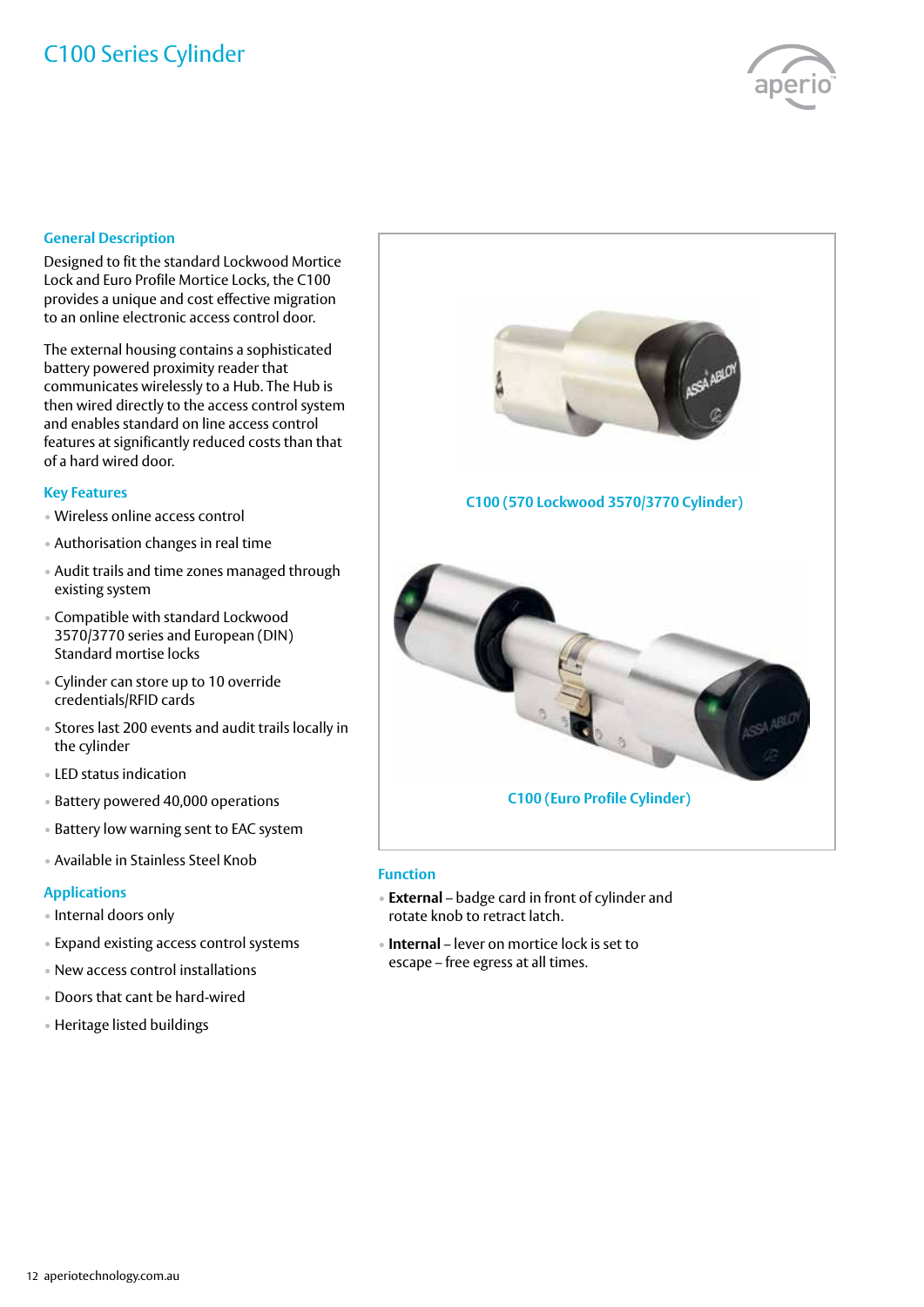# C100 Series Cylinder



#### **General Description**

Designed to fit the standard Lockwood Mortice Lock and Euro Profile Mortice Locks, the C100 provides a unique and cost effective migration to an online electronic access control door.

The external housing contains a sophisticated battery powered proximity reader that communicates wirelessly to a Hub. The Hub is then wired directly to the access control system and enables standard on line access control features at significantly reduced costs than that of a hard wired door.

#### **Key Features**

- Wireless online access control
- Authorisation changes in real time
- Audit trails and time zones managed through existing system
- Compatible with standard Lockwood 3570/3770 series and European (DIN) Standard mortise locks
- Cylinder can store up to 10 override credentials/RFID cards
- Stores last 200 events and audit trails locally in the cylinder
- LED status indication
- Battery powered 40,000 operations
- Battery low warning sent to EAC system
- Available in Stainless Steel Knob

#### **Applications**

- Internal doors only
- Expand existing access control systems
- New access control installations
- Doors that cant be hard-wired
- Heritage listed buildings



#### **Function**

- **External** badge card in front of cylinder and rotate knob to retract latch.
- **Internal** lever on mortice lock is set to escape – free egress at all times.